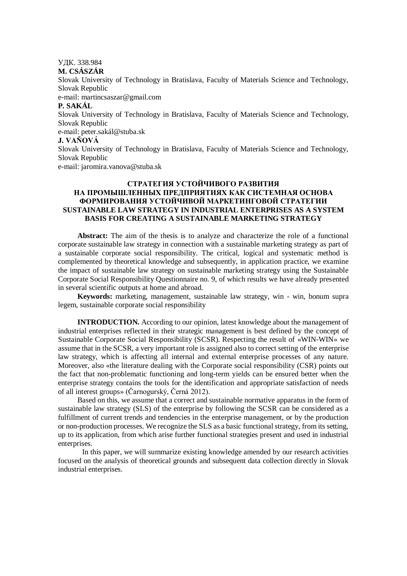УДК. 338.984 **M. CSÁSZÁR** Slovak University of Technology in Bratislava, Faculty of Materials Science and Technology, Slovak Republic e-mail: martincsaszar@gmail.com **P. SAKÁL** Slovak University of Technology in Bratislava, Faculty of Materials Science and Technology, Slovak Republic e-mail: peter.sakál@stuba.sk **J. VAŇOVÁ** Slovak University of Technology in Bratislava, Faculty of Materials Science and Technology, Slovak Republic e-mail: jaromira.vanova@stuba.sk

# **СТРАТЕГИЯ УСТОЙЧИВОГО РАЗВИТИЯ НА ПРОМЫШЛЕННЫХ ПРЕДПРИЯТИЯХ КАК СИСТЕМНАЯ ОСНОВА ФОРМИРОВАНИЯ УСТОЙЧИВОЙ МАРКЕТИНГОВОЙ СТРАТЕГИИ SUSTAINABLE LAW STRATEGY IN INDUSTRIAL ENTERPRISES AS A SYSTEM BASIS FOR CREATING A SUSTAINABLE MARKETING STRATEGY**

**Abstract:** The aim of the thesis is to analyze and characterize the role of a functional corporate sustainable law strategy in connection with a sustainable marketing strategy as part of a sustainable corporate social responsibility. The critical, logical and systematic method is complemented by theoretical knowledge and subsequently, in application practice, we examine the impact of sustainable law strategy on sustainable marketing strategy using the Sustainable Corporate Social Responsibility Questionnaire no. 9, of which results we have already presented in several scientific outputs at home and abroad.

**Keywords:** marketing, management, sustainable law strategy, win - win, bonum supra legem, sustainable corporate social responsibility

**INTRODUCTION.** According to our opinion, latest knowledge about the management of industrial enterprises reflected in their strategic management is best defined by the concept of Sustainable Corporate Social Responsibility (SCSR). Respecting the result of «WIN-WIN» we assume that in the SCSR, a very important role is assigned also to correct setting of the enterprise law strategy, which is affecting all internal and external enterprise processes of any nature. Moreover, also «the literature dealing with the Corporate social responsibility (CSR) points out the fact that non-problematic functioning and long-term yields can be ensured better when the enterprise strategy contains the tools for the identification and appropriate satisfaction of needs of all interest groups» (Čarnogurský, Černá 2012).

Based on this, we assume that a correct and sustainable normative apparatus in the form of sustainable law strategy (SLS) of the enterprise by following the SCSR can be considered as a fulfillment of current trends and tendencies in the enterprise management, or by the production or non-production processes. We recognize the SLS as a basic functional strategy, from its setting, up to its application, from which arise further functional strategies present and used in industrial enterprises.

In this paper, we will summarize existing knowledge amended by our research activities focused on the analysis of theoretical grounds and subsequent data collection directly in Slovak industrial enterprises.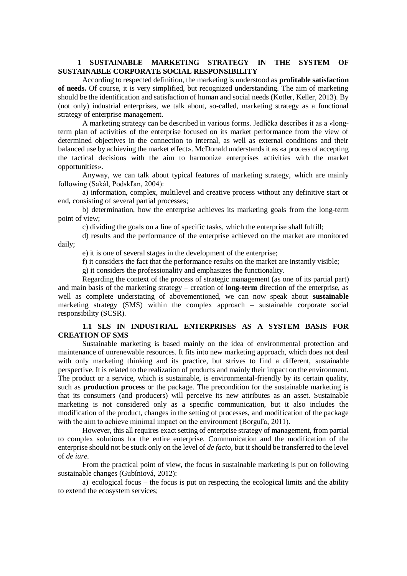### **1 SUSTAINABLE MARKETING STRATEGY IN THE SYSTEM OF SUSTAINABLE CORPORATE SOCIAL RESPONSIBILITY**

According to respected definition, the marketing is understood as **profitable satisfaction of needs.** Of course, it is very simplified, but recognized understanding. The aim of marketing should be the identification and satisfaction of human and social needs (Kotler, Keller, 2013). By (not only) industrial enterprises, we talk about, so-called, marketing strategy as a functional strategy of enterprise management.

A marketing strategy can be described in various forms. Jedlička describes it as a «longterm plan of activities of the enterprise focused on its market performance from the view of determined objectives in the connection to internal, as well as external conditions and their balanced use by achieving the market effect». McDonald understands it as «a process of accepting the tactical decisions with the aim to harmonize enterprises activities with the market opportunities».

Anyway, we can talk about typical features of marketing strategy, which are mainly following (Sakál, Podskľan, 2004):

a) information, complex, multilevel and creative process without any definitive start or end, consisting of several partial processes;

b) determination, how the enterprise achieves its marketing goals from the long-term point of view;

c) dividing the goals on a line of specific tasks, which the enterprise shall fulfill;

d) results and the performance of the enterprise achieved on the market are monitored daily;

e) it is one of several stages in the development of the enterprise;

f) it considers the fact that the performance results on the market are instantly visible;

g) it considers the professionality and emphasizes the functionality.

Regarding the context of the process of strategic management (as one of its partial part) and main basis of the marketing strategy – creation of **long-term** direction of the enterprise, as well as complete understating of abovementioned, we can now speak about **sustainable**  marketing strategy (SMS) within the complex approach – sustainable corporate social responsibility (SCSR).

# **1.1 SLS IN INDUSTRIAL ENTERPRISES AS A SYSTEM BASIS FOR CREATION OF SMS**

Sustainable marketing is based mainly on the idea of environmental protection and maintenance of unrenewable resources. It fits into new marketing approach, which does not deal with only marketing thinking and its practice, but strives to find a different, sustainable perspective. It is related to the realization of products and mainly their impact on the environment. The product or a service, which is sustainable, is environmental-friendly by its certain quality, such as **production process** or the package. The precondition for the sustainable marketing is that its consumers (and producers) will perceive its new attributes as an asset. Sustainable marketing is not considered only as a specific communication, but it also includes the modification of the product, changes in the setting of processes, and modification of the package with the aim to achieve minimal impact on the environment (Borgul'a, 2011).

However, this all requires exact setting of enterprise strategy of management, from partial to complex solutions for the entire enterprise. Communication and the modification of the enterprise should not be stuck only on the level of *de facto*, but it should be transferred to the level of *de iure.* 

From the practical point of view, the focus in sustainable marketing is put on following sustainable changes (Gubíniová, 2012):

a) ecological focus – the focus is put on respecting the ecological limits and the ability to extend the ecosystem services;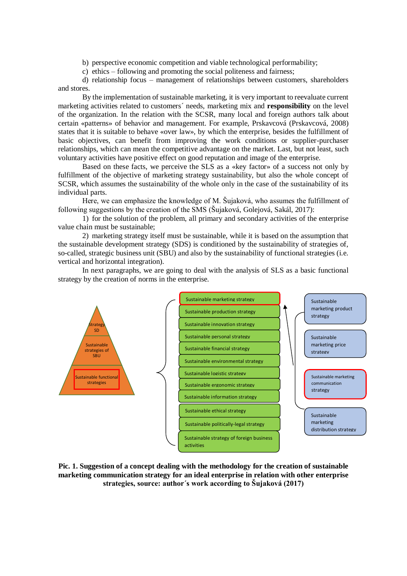b) perspective economic competition and viable technological performability;

c) ethics – following and promoting the social politeness and fairness;

d) relationship focus – management of relationships between customers, shareholders and stores.

By the implementation of sustainable marketing, it is very important to reevaluate current marketing activities related to customers´ needs, marketing mix and **responsibility** on the level of the organization. In the relation with the SCSR, many local and foreign authors talk about certain «patterns» of behavior and management. For example, Prskavcová (Prskavcová, 2008) states that it is suitable to behave «over law», by which the enterprise, besides the fulfillment of basic objectives, can benefit from improving the work conditions or supplier-purchaser relationships, which can mean the competitive advantage on the market. Last, but not least, such voluntary activities have positive effect on good reputation and image of the enterprise.

Based on these facts, we perceive the SLS as a «key factor» of a success not only by fulfillment of the objective of marketing strategy sustainability, but also the whole concept of SCSR, which assumes the sustainability of the whole only in the case of the sustainability of its individual parts.

Here, we can emphasize the knowledge of M. Šujaková, who assumes the fulfillment of following suggestions by the creation of the SMS (Šujaková, Golejová, Sakál, 2017):

1) for the solution of the problem, all primary and secondary activities of the enterprise value chain must be sustainable;

2) marketing strategy itself must be sustainable, while it is based on the assumption that the sustainable development strategy (SDS) is conditioned by the sustainability of strategies of, so-called, strategic business unit (SBU) and also by the sustainability of functional strategies (i.e. vertical and horizontal integration).

In next paragraphs, we are going to deal with the analysis of SLS as a basic functional strategy by the creation of norms in the enterprise.



**Pic. 1. Suggestion of a concept dealing with the methodology for the creation of sustainable marketing communication strategy for an ideal enterprise in relation with other enterprise strategies, source: author´s work according to Šujaková (2017)**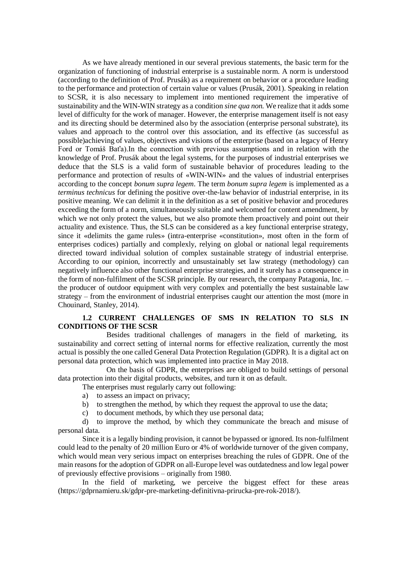As we have already mentioned in our several previous statements, the basic term for the organization of functioning of industrial enterprise is a sustainable norm. A norm is understood (according to the definition of Prof. Prusák) as a requirement on behavior or a procedure leading to the performance and protection of certain value or values (Prusák, 2001). Speaking in relation to SCSR, it is also necessary to implement into mentioned requirement the imperative of sustainability and the WIN-WIN strategy as a condition *sine qua non.* We realize that it adds some level of difficulty for the work of manager. However, the enterprise management itself is not easy and its directing should be determined also by the association (enterprise personal substrate), its values and approach to the control over this association, and its effective (as successful as possible)achieving of values, objectives and visions of the enterprise (based on a legacy of Henry Ford or Tomáš Baťa).In the connection with previous assumptions and in relation with the knowledge of Prof. Prusák about the legal systems, for the purposes of industrial enterprises we deduce that the SLS is a valid form of sustainable behavior of procedures leading to the performance and protection of results of «WIN-WIN» and the values of industrial enterprises according to the concept *bonum supra legem*. The term *bonum supra legem* is implemented as a *terminus technicus* for defining the positive over-the-law behavior of industrial enterprise, in its positive meaning. We can delimit it in the definition as a set of positive behavior and procedures exceeding the form of a norm, simultaneously suitable and welcomed for content amendment, by which we not only protect the values, but we also promote them proactively and point out their actuality and existence. Thus, the SLS can be considered as a key functional enterprise strategy, since it «delimits the game rules» (intra-enterprise «constitution», most often in the form of enterprises codices) partially and complexly, relying on global or national legal requirements directed toward individual solution of complex sustainable strategy of industrial enterprise. According to our opinion, incorrectly and unsustainably set law strategy (methodology) can negatively influence also other functional enterprise strategies, and it surely has a consequence in the form of non-fulfilment of the SCSR principle. By our research, the company Patagonia, Inc. – the producer of outdoor equipment with very complex and potentially the best sustainable law strategy – from the environment of industrial enterprises caught our attention the most (more in Chouinard, Stanley, 2014).

# **1.2 CURRENT CHALLENGES OF SMS IN RELATION TO SLS IN CONDITIONS OF THE SCSR**

Besides traditional challenges of managers in the field of marketing, its sustainability and correct setting of internal norms for effective realization, currently the most actual is possibly the one called General Data Protection Regulation (GDPR). It is a digital act on personal data protection, which was implemented into practice in May 2018.

On the basis of GDPR, the enterprises are obliged to build settings of personal data protection into their digital products, websites, and turn it on as default.

The enterprises must regularly carry out following:

- a) to assess an impact on privacy;
- b) to strengthen the method, by which they request the approval to use the data;
- c) to document methods, by which they use personal data;

d) to improve the method, by which they communicate the breach and misuse of personal data.

Since it is a legally binding provision, it cannot be bypassed or ignored. Its non-fulfilment could lead to the penalty of 20 million Euro or 4% of worldwide turnover of the given company, which would mean very serious impact on enterprises breaching the rules of GDPR. One of the main reasons for the adoption of GDPR on all-Europe level was outdatedness and low legal power of previously effective provisions – originally from 1980.

In the field of marketing, we perceive the biggest effect for these areas (https://gdprnamieru.sk/gdpr-pre-marketing-definitivna-prirucka-pre-rok-2018/).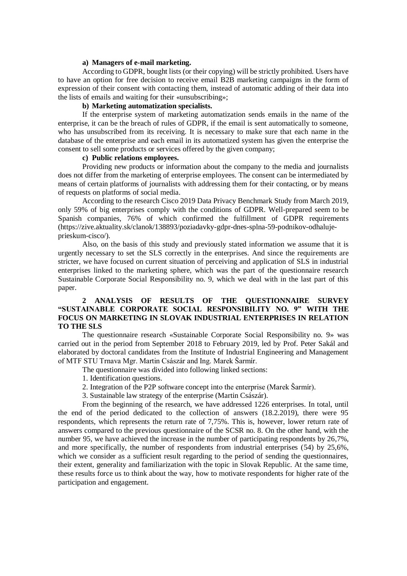#### **a) Managers of e-mail marketing.**

According to GDPR, bought lists (or their copying) will be strictly prohibited. Users have to have an option for free decision to receive email B2B marketing campaigns in the form of expression of their consent with contacting them, instead of automatic adding of their data into the lists of emails and waiting for their «unsubscribing»;

#### **b) Marketing automatization specialists.**

If the enterprise system of marketing automatization sends emails in the name of the enterprise, it can be the breach of rules of GDPR, if the email is sent automatically to someone, who has unsubscribed from its receiving. It is necessary to make sure that each name in the database of the enterprise and each email in its automatized system has given the enterprise the consent to sell some products or services offered by the given company;

#### **c) Public relations employees.**

Providing new products or information about the company to the media and journalists does not differ from the marketing of enterprise employees. The consent can be intermediated by means of certain platforms of journalists with addressing them for their contacting, or by means of requests on platforms of social media.

According to the research Cisco 2019 Data Privacy Benchmark Study from March 2019, only 59% of big enterprises comply with the conditions of GDPR. Well-prepared seem to be Spanish companies, 76% of which confirmed the fulfillment of GDPR requirements (https://zive.aktuality.sk/clanok/138893/poziadavky-gdpr-dnes-splna-59-podnikov-odhalujeprieskum-cisco/).

Also, on the basis of this study and previously stated information we assume that it is urgently necessary to set the SLS correctly in the enterprises. And since the requirements are stricter, we have focused on current situation of perceiving and application of SLS in industrial enterprises linked to the marketing sphere, which was the part of the questionnaire research Sustainable Corporate Social Responsibility no. 9, which we deal with in the last part of this paper.

# **2 ANALYSIS OF RESULTS OF THE QUESTIONNAIRE SURVEY "SUSTAINABLE CORPORATE SOCIAL RESPONSIBILITY NO. 9" WITH THE FOCUS ON MARKETING IN SLOVAK INDUSTRIAL ENTERPRISES IN RELATION TO THE SLS**

The questionnaire research «Sustainable Corporate Social Responsibility no. 9» was carried out in the period from September 2018 to February 2019, led by Prof. Peter Sakál and elaborated by doctoral candidates from the Institute of Industrial Engineering and Management of MTF STU Trnava Mgr. Martin Császár and Ing. Marek Šarmír.

The questionnaire was divided into following linked sections:

- 1. Identification questions.
- 2. Integration of the P2P software concept into the enterprise (Marek Šarmír).
- 3. Sustainable law strategy of the enterprise (Martin Császár).

From the beginning of the research, we have addressed 1226 enterprises. In total, until the end of the period dedicated to the collection of answers (18.2.2019), there were 95 respondents, which represents the return rate of 7,75%. This is, however, lower return rate of answers compared to the previous questionnaire of the SCSR no. 8. On the other hand, with the number 95, we have achieved the increase in the number of participating respondents by 26,7%, and more specifically, the number of respondents from industrial enterprises (54) by 25,6%, which we consider as a sufficient result regarding to the period of sending the questionnaires, their extent, generality and familiarization with the topic in Slovak Republic. At the same time, these results force us to think about the way, how to motivate respondents for higher rate of the participation and engagement.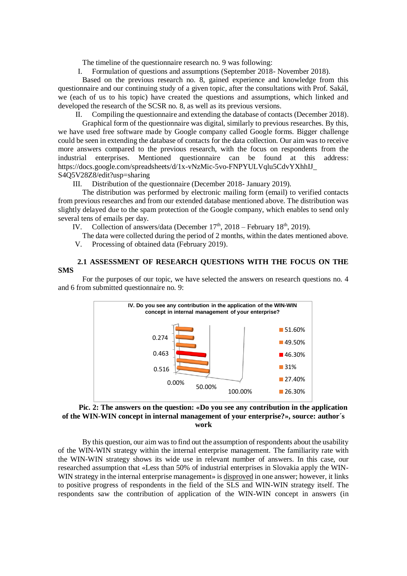The timeline of the questionnaire research no. 9 was following:

I. Formulation of questions and assumptions (September 2018- November 2018).

Based on the previous research no.  $\overline{8}$ , gained experience and knowledge from this questionnaire and our continuing study of a given topic, after the consultations with Prof. Sakál, we (each of us to his topic) have created the questions and assumptions, which linked and developed the research of the SCSR no. 8, as well as its previous versions.

II. Compiling the questionnaire and extending the database of contacts (December 2018). Graphical form of the questionnaire was digital, similarly to previous researches. By this, we have used free software made by Google company called Google forms. Bigger challenge could be seen in extending the database of contacts for the data collection. Our aim was to receive more answers compared to the previous research, with the focus on respondents from the industrial enterprises. Mentioned questionnaire can be found at this address: https://docs.google.com/spreadsheets/d/1x-vNzMic-5vo-FNPYULVqlu5CdvYXhhIJ\_ S4Q5V28Z8/edit?usp=sharing

III. Distribution of the questionnaire (December 2018- January 2019).

The distribution was performed by electronic mailing form (email) to verified contacts from previous researches and from our extended database mentioned above. The distribution was slightly delayed due to the spam protection of the Google company, which enables to send only several tens of emails per day.

IV. Collection of answers/data (December  $17<sup>th</sup>$ , 2018 – February 18<sup>th</sup>, 2019).

The data were collected during the period of 2 months, within the dates mentioned above.

V. Processing of obtained data (February 2019).

### **2.1 ASSESSMENT OF RESEARCH QUESTIONS WITH THE FOCUS ON THE SMS**

For the purposes of our topic, we have selected the answers on research questions no. 4 and 6 from submitted questionnaire no. 9:



# **Pic. 2: The answers on the question: «Do you see any contribution in the application of the WIN-WIN concept in internal management of your enterprise?», source: author´s work**

By this question, our aim was to find out the assumption of respondents about the usability of the WIN-WIN strategy within the internal enterprise management. The familiarity rate with the WIN-WIN strategy shows its wide use in relevant number of answers. In this case, our researched assumption that «Less than 50% of industrial enterprises in Slovakia apply the WIN-WIN strategy in the internal enterprise management» is disproved in one answer; however, it links to positive progress of respondents in the field of the SLS and WIN-WIN strategy itself. The respondents saw the contribution of application of the WIN-WIN concept in answers (in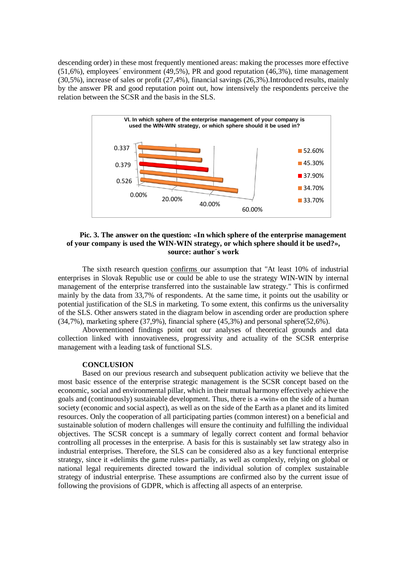descending order) in these most frequently mentioned areas: making the processes more effective (51,6%), employees´ environment (49,5%), PR and good reputation (46,3%), time management (30,5%), increase of sales or profit (27,4%), financial savings (26,3%).Introduced results, mainly by the answer PR and good reputation point out, how intensively the respondents perceive the relation between the SCSR and the basis in the SLS.



#### **Pic. 3. The answer on the question: «In which sphere of the enterprise management of your company is used the WIN-WIN strategy, or which sphere should it be used?», source: author´s work**

The sixth research question confirms our assumption that "At least 10% of industrial enterprises in Slovak Republic use or could be able to use the strategy WIN-WIN by internal management of the enterprise transferred into the sustainable law strategy." This is confirmed mainly by the data from 33,7% of respondents. At the same time, it points out the usability or potential justification of the SLS in marketing. To some extent, this confirms us the universality of the SLS. Other answers stated in the diagram below in ascending order are production sphere (34,7%), marketing sphere (37,9%), financial sphere (45,3%) and personal sphere(52,6%).

Abovementioned findings point out our analyses of theoretical grounds and data collection linked with innovativeness, progressivity and actuality of the SCSR enterprise management with a leading task of functional SLS.

#### **CONCLUSION**

Based on our previous research and subsequent publication activity we believe that the most basic essence of the enterprise strategic management is the SCSR concept based on the economic, social and environmental pillar, which in their mutual harmony effectively achieve the goals and (continuously) sustainable development. Thus, there is a «win» on the side of a human society (economic and social aspect), as well as on the side of the Earth as a planet and its limited resources. Only the cooperation of all participating parties (common interest) on a beneficial and sustainable solution of modern challenges will ensure the continuity and fulfilling the individual objectives. The SCSR concept is a summary of legally correct content and formal behavior controlling all processes in the enterprise. A basis for this is sustainably set law strategy also in industrial enterprises. Therefore, the SLS can be considered also as a key functional enterprise strategy, since it «delimits the game rules» partially, as well as complexly, relying on global or national legal requirements directed toward the individual solution of complex sustainable strategy of industrial enterprise. These assumptions are confirmed also by the current issue of following the provisions of GDPR, which is affecting all aspects of an enterprise.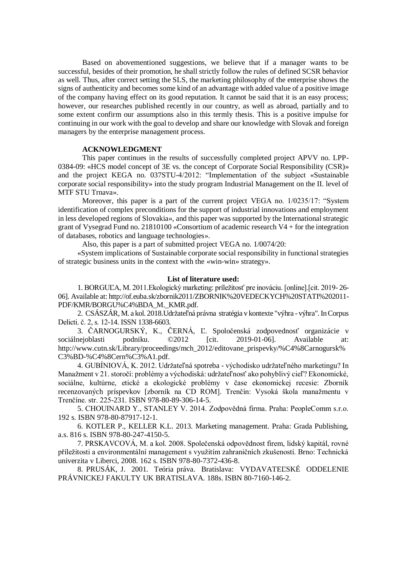Based on abovementioned suggestions, we believe that if a manager wants to be successful, besides of their promotion, he shall strictly follow the rules of defined SCSR behavior as well. Thus, after correct setting the SLS, the marketing philosophy of the enterprise shows the signs of authenticity and becomes some kind of an advantage with added value of a positive image of the company having effect on its good reputation. It cannot be said that it is an easy process; however, our researches published recently in our country, as well as abroad, partially and to some extent confirm our assumptions also in this termly thesis. This is a positive impulse for continuing in our work with the goal to develop and share our knowledge with Slovak and foreign managers by the enterprise management process.

#### **ACKNOWLEDGMENT**

This paper continues in the results of successfully completed project APVV no. LPP-0384-09: «HCS model concept of 3E vs. the concept of Corporate Social Responsibility (CSR)» and the project KEGA no. 037STU-4/2012: "Implementation of the subject «Sustainable corporate social responsibility» into the study program Industrial Management on the II. level of MTF STU Trnava».

Moreover, this paper is a part of the current project VEGA no. 1/0235/17: "System identification of complex preconditions for the support of industrial innovations and employment in less developed regions of Slovakia», and this paper was supported by the International strategic grant of Vysegrad Fund no. 21810100 «Consortium of academic research V4 + for the integration of databases, robotics and language technologies».

Also, this paper is a part of submitted project VEGA no. 1/0074/20:

«System implications of Sustainable corporate social responsibility in functional strategies of strategic business units in the context with the «win-win» strategy».

#### **List of literature used:**

1. BORGUĽA, M. 2011.Ekologický marketing: príležitosť pre inováciu. [online].[cit. 2019- 26- 06]. Available at: http://of.euba.sk/zbornik2011/ZBORNIK%20VEDECKYCH%20STATI%202011- PDF/KMR/BORGU%C4%BDA\_M.\_KMR.pdf.

2. CSÁSZÁR, M. a kol. 2018.Udržateľná právna stratégia v kontexte "výhra - výhra". In Corpus Delicti. č. 2, s. 12-14. ISSN 1338-6603.

3. ČARNOGURSKÝ, K., ČERNÁ, Ľ. Spoločenská zodpovednosť organizácie v sociálnejoblasti podniku. ©2012 [cit. 2019-01-06]. Available at: http://www.cutn.sk/Library/proceedings/mch\_2012/editovane\_prispevky/%C4%8Carnogursk% C3%BD-%C4%8Cern%C3%A1.pdf.

4. GUBÍNIOVÁ, K. 2012. Udržateľná spotreba - východisko udržateľného marketingu? In Manažment v 21. storočí: problémy a východiská: udržateľnosť ako pohyblivý cieľ? Ekonomické, sociálne, kultúrne, etické a ekologické problémy v čase ekonomickej recesie: Zborník recenzovaných príspevkov [zborník na CD ROM]. Trenčín: Vysoká škola manažmentu v Trenčíne. str. 225-231. ISBN 978-80-89-306-14-5.

5. CHOUINARD Y., STANLEY V. 2014. Zodpovědná firma. Praha: PeopleComm s.r.o. 192 s. ISBN 978-80-87917-12-1.

6. KOTLER P., KELLER K.L. 2013. Marketing management. Praha: Grada Publishing, a.s. 816 s. ISBN 978-80-247-4150-5.

7. PRSKAVCOVÁ, M. a kol. 2008. Společenská odpovědnost firem, lidský kapitál, rovné příležitosti a environmentální management s využitím zahraničních zkušeností. Brno: Technická univerzita v Liberci, 2008. 162 s. ISBN 978-80-7372-436-8.

8. PRUSÁK, J. 2001. Teória práva. Bratislava: VYDAVATEĽSKÉ ODDELENIE PRÁVNICKEJ FAKULTY UK BRATISLAVA. 188s. ISBN 80-7160-146-2.